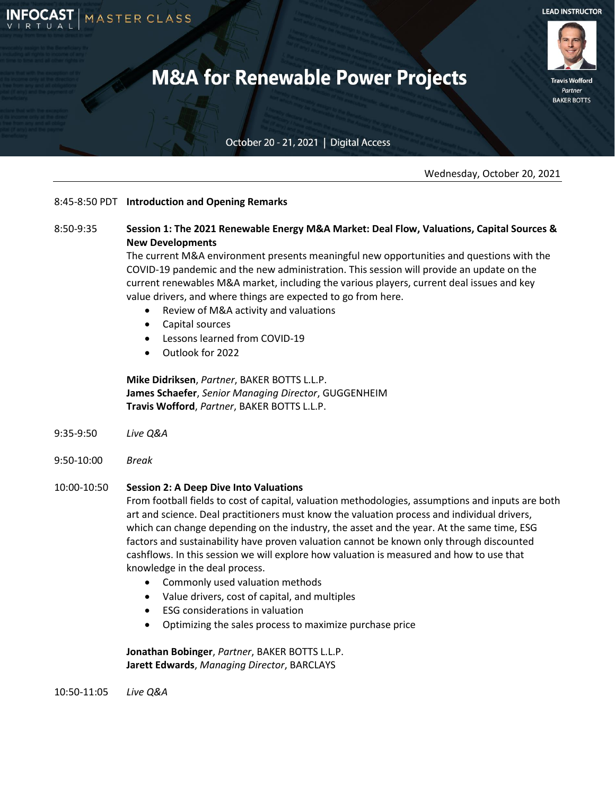

**Travis Wofford** Partner **BAKER BOTTS** 

## October 20 - 21, 2021 | Digital Access

Wednesday, October 20, 2021

## 8:45-8:50 PDT **Introduction and Opening Remarks**

MASTER CLASS

# 8:50-9:35 **Session 1: The 2021 Renewable Energy M&A Market: Deal Flow, Valuations, Capital Sources & New Developments**

The current M&A environment presents meaningful new opportunities and questions with the COVID-19 pandemic and the new administration. This session will provide an update on the current renewables M&A market, including the various players, current deal issues and key value drivers, and where things are expected to go from here.

- Review of M&A activity and valuations
- Capital sources
- Lessons learned from COVID-19
- Outlook for 2022

**Mike Didriksen**, *Partner*, BAKER BOTTS L.L.P. **James Schaefer**, *Senior Managing Director*, GUGGENHEIM **Travis Wofford**, *Partner*, BAKER BOTTS L.L.P.

- 9:35-9:50 *Live Q&A*
- 9:50-10:00 *Break*

## 10:00-10:50 **Session 2: A Deep Dive Into Valuations**

From football fields to cost of capital, valuation methodologies, assumptions and inputs are both art and science. Deal practitioners must know the valuation process and individual drivers, which can change depending on the industry, the asset and the year. At the same time, ESG factors and sustainability have proven valuation cannot be known only through discounted cashflows. In this session we will explore how valuation is measured and how to use that knowledge in the deal process.

- Commonly used valuation methods
- Value drivers, cost of capital, and multiples
- ESG considerations in valuation
- Optimizing the sales process to maximize purchase price

**Jonathan Bobinger**, *Partner*, BAKER BOTTS L.L.P. **Jarett Edwards**, *Managing Director*, BARCLAYS

10:50-11:05 *Live Q&A*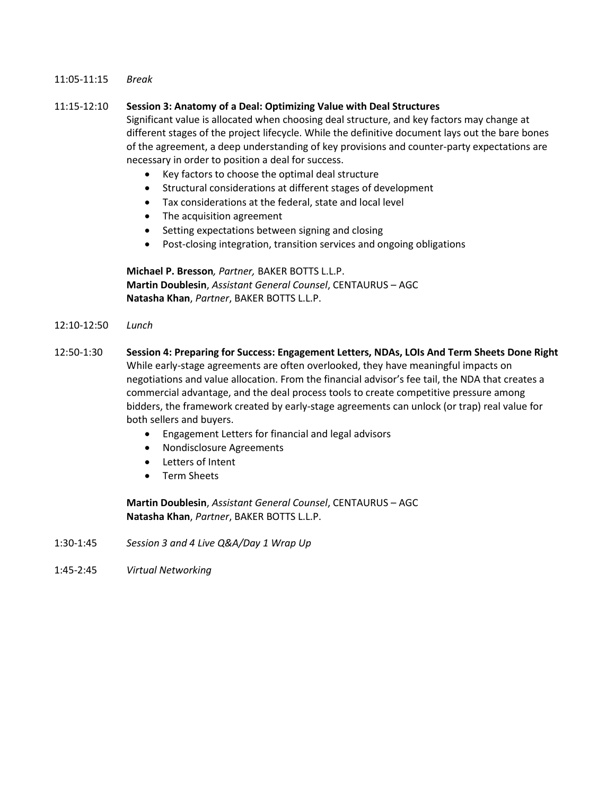#### 11:05-11:15 *Break*

#### 11:15-12:10 **Session 3: Anatomy of a Deal: Optimizing Value with Deal Structures**

Significant value is allocated when choosing deal structure, and key factors may change at different stages of the project lifecycle. While the definitive document lays out the bare bones of the agreement, a deep understanding of key provisions and counter-party expectations are necessary in order to position a deal for success.

- Key factors to choose the optimal deal structure
- Structural considerations at different stages of development
- Tax considerations at the federal, state and local level
- The acquisition agreement
- Setting expectations between signing and closing
- Post-closing integration, transition services and ongoing obligations

**Michael P. Bresson***, Partner,* BAKER BOTTS L.L.P. **Martin Doublesin**, *Assistant General Counsel*, CENTAURUS – AGC **Natasha Khan**, *Partner*, BAKER BOTTS L.L.P.

- 12:10-12:50 *Lunch*
- 12:50-1:30 **Session 4: Preparing for Success: Engagement Letters, NDAs, LOIs And Term Sheets Done Right** While early-stage agreements are often overlooked, they have meaningful impacts on negotiations and value allocation. From the financial advisor's fee tail, the NDA that creates a commercial advantage, and the deal process tools to create competitive pressure among bidders, the framework created by early-stage agreements can unlock (or trap) real value for both sellers and buyers.
	- Engagement Letters for financial and legal advisors
	- Nondisclosure Agreements
	- Letters of Intent
	- Term Sheets

**Martin Doublesin**, *Assistant General Counsel*, CENTAURUS – AGC **Natasha Khan**, *Partner*, BAKER BOTTS L.L.P.

- 1:30-1:45 *Session 3 and 4 Live Q&A/Day 1 Wrap Up*
- 1:45-2:45 *Virtual Networking*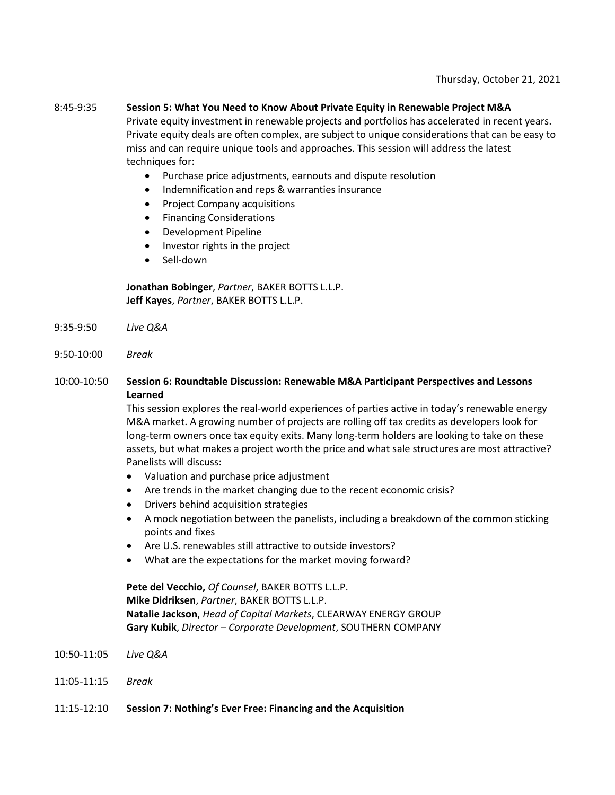#### 8:45-9:35 **Session 5: What You Need to Know About Private Equity in Renewable Project M&A**

Private equity investment in renewable projects and portfolios has accelerated in recent years. Private equity deals are often complex, are subject to unique considerations that can be easy to miss and can require unique tools and approaches. This session will address the latest techniques for:

- Purchase price adjustments, earnouts and dispute resolution
- Indemnification and reps & warranties insurance
- Project Company acquisitions
- Financing Considerations
- Development Pipeline
- Investor rights in the project
- Sell-down

**Jonathan Bobinger**, *Partner*, BAKER BOTTS L.L.P. **Jeff Kayes**, *Partner*, BAKER BOTTS L.L.P.

- 9:35-9:50 *Live Q&A*
- 9:50-10:00 *Break*
- 10:00-10:50 **Session 6: Roundtable Discussion: Renewable M&A Participant Perspectives and Lessons Learned**

This session explores the real-world experiences of parties active in today's renewable energy M&A market. A growing number of projects are rolling off tax credits as developers look for long-term owners once tax equity exits. Many long-term holders are looking to take on these assets, but what makes a project worth the price and what sale structures are most attractive? Panelists will discuss:

- Valuation and purchase price adjustment
- Are trends in the market changing due to the recent economic crisis?
- Drivers behind acquisition strategies
- A mock negotiation between the panelists, including a breakdown of the common sticking points and fixes
- Are U.S. renewables still attractive to outside investors?
- What are the expectations for the market moving forward?

**Pete del Vecchio,** *Of Counsel*, BAKER BOTTS L.L.P. **Mike Didriksen**, *Partner*, BAKER BOTTS L.L.P. **Natalie Jackson**, *Head of Capital Markets*, CLEARWAY ENERGY GROUP **Gary Kubik**, *Director – Corporate Development*, SOUTHERN COMPANY

- 10:50-11:05 *Live Q&A*
- 11:05-11:15 *Break*
- 11:15-12:10 **Session 7: Nothing's Ever Free: Financing and the Acquisition**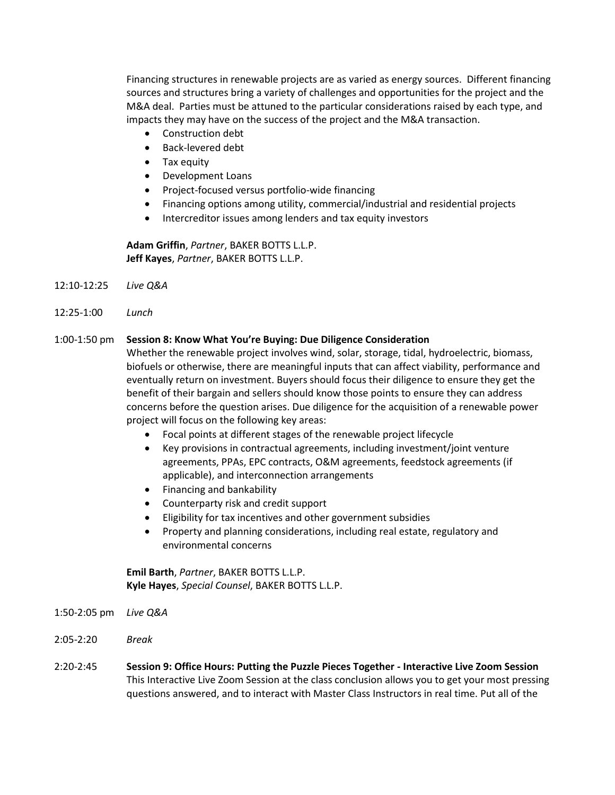Financing structures in renewable projects are as varied as energy sources. Different financing sources and structures bring a variety of challenges and opportunities for the project and the M&A deal. Parties must be attuned to the particular considerations raised by each type, and impacts they may have on the success of the project and the M&A transaction.

- Construction debt
- Back-levered debt
- Tax equity
- Development Loans
- Project-focused versus portfolio-wide financing
- Financing options among utility, commercial/industrial and residential projects
- Intercreditor issues among lenders and tax equity investors

**Adam Griffin**, *Partner*, BAKER BOTTS L.L.P. **Jeff Kayes**, *Partner*, BAKER BOTTS L.L.P.

- 12:10-12:25 *Live Q&A*
- 12:25-1:00 *Lunch*

#### 1:00-1:50 pm **Session 8: Know What You're Buying: Due Diligence Consideration**

Whether the renewable project involves wind, solar, storage, tidal, hydroelectric, biomass, biofuels or otherwise, there are meaningful inputs that can affect viability, performance and eventually return on investment. Buyers should focus their diligence to ensure they get the benefit of their bargain and sellers should know those points to ensure they can address concerns before the question arises. Due diligence for the acquisition of a renewable power project will focus on the following key areas:

- Focal points at different stages of the renewable project lifecycle
- Key provisions in contractual agreements, including investment/joint venture agreements, PPAs, EPC contracts, O&M agreements, feedstock agreements (if applicable), and interconnection arrangements
- Financing and bankability
- Counterparty risk and credit support
- Eligibility for tax incentives and other government subsidies
- Property and planning considerations, including real estate, regulatory and environmental concerns

**Emil Barth**, *Partner*, BAKER BOTTS L.L.P. **Kyle Hayes**, *Special Counsel*, BAKER BOTTS L.L.P.

- 1:50-2:05 pm *Live Q&A*
- 2:05-2:20 *Break*
- 2:20-2:45 **Session 9: Office Hours: Putting the Puzzle Pieces Together - Interactive Live Zoom Session** This Interactive Live Zoom Session at the class conclusion allows you to get your most pressing questions answered, and to interact with Master Class Instructors in real time. Put all of the